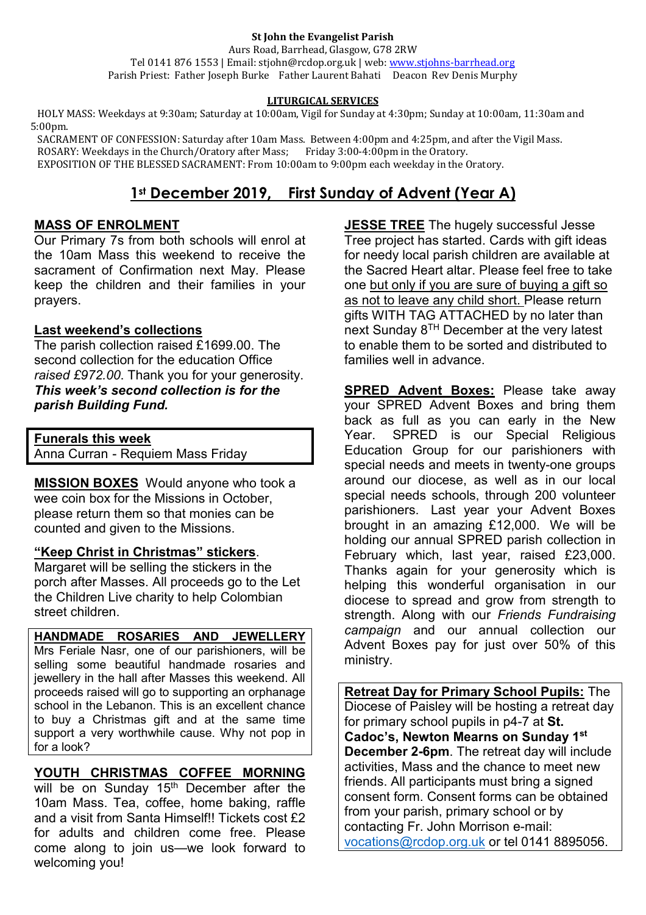#### **St John the Evangelist Parish**

Aurs Road, Barrhead, Glasgow, G78 2RW Tel 0141 876 1553 | Email: stjohn@rcdop.org.uk | web: [www.stjohns-barrhead.org](http://www.stjohns-barrhead.org/) Parish Priest: Father Joseph Burke Father Laurent Bahati Deacon Rev Denis Murphy

#### **LITURGICAL SERVICES**

 HOLY MASS: Weekdays at 9:30am; Saturday at 10:00am, Vigil for Sunday at 4:30pm; Sunday at 10:00am, 11:30am and 5:00pm.

 SACRAMENT OF CONFESSION: Saturday after 10am Mass. Between 4:00pm and 4:25pm, and after the Vigil Mass. ROSARY: Weekdays in the Church/Oratory after Mass; Friday 3:00-4:00pm in the Oratory. EXPOSITION OF THE BLESSED SACRAMENT: From 10:00am to 9:00pm each weekday in the Oratory.

# **1st December 2019, First Sunday of Advent (Year A)**

#### **MASS OF ENROLMENT**

Our Primary 7s from both schools will enrol at the 10am Mass this weekend to receive the sacrament of Confirmation next May. Please keep the children and their families in your prayers.

## **Last weekend's collections**

The parish collection raised £1699.00. The second collection for the education Office *raised £972.00*. Thank you for your generosity. *This week's second collection is for the parish Building Fund.*

**Funerals this week**

Anna Curran - Requiem Mass Friday

**MISSION BOXES**Would anyone who took a wee coin box for the Missions in October, please return them so that monies can be counted and given to the Missions.

## **"Keep Christ in Christmas" stickers**.

Margaret will be selling the stickers in the porch after Masses. All proceeds go to the Let the Children Live charity to help Colombian street children.

**HANDMADE ROSARIES AND JEWELLERY**  Mrs Feriale Nasr, one of our parishioners, will be selling some beautiful handmade rosaries and jewellery in the hall after Masses this weekend. All proceeds raised will go to supporting an orphanage school in the Lebanon. This is an excellent chance to buy a Christmas gift and at the same time support a very worthwhile cause. Why not pop in for a look?

## **YOUTH CHRISTMAS COFFEE MORNING**

will be on Sunday 15<sup>th</sup> December after the 10am Mass. Tea, coffee, home baking, raffle and a visit from Santa Himself!! Tickets cost £2 for adults and children come free. Please come along to join us—we look forward to welcoming you!

**JESSE TREE** The hugely successful Jesse Tree project has started. Cards with gift ideas for needy local parish children are available at the Sacred Heart altar. Please feel free to take one but only if you are sure of buying a gift so as not to leave any child short. Please return gifts WITH TAG ATTACHED by no later than next Sunday  $8^{TH}$  December at the very latest to enable them to be sorted and distributed to families well in advance.

**SPRED Advent Boxes:** Please take away your SPRED Advent Boxes and bring them back as full as you can early in the New Year. SPRED is our Special Religious Education Group for our parishioners with special needs and meets in twenty-one groups around our diocese, as well as in our local special needs schools, through 200 volunteer parishioners. Last year your Advent Boxes brought in an amazing £12,000. We will be holding our annual SPRED parish collection in February which, last year, raised £23,000. Thanks again for your generosity which is helping this wonderful organisation in our diocese to spread and grow from strength to strength. Along with our *Friends Fundraising campaign* and our annual collection our Advent Boxes pay for just over 50% of this ministry.

**Retreat Day for Primary School Pupils:** The Diocese of Paisley will be hosting a retreat day for primary school pupils in p4-7 at **St. Cadoc's, Newton Mearns on Sunday 1st December 2-6pm**. The retreat day will include activities, Mass and the chance to meet new friends. All participants must bring a signed consent form. Consent forms can be obtained from your parish, primary school or by contacting Fr. John Morrison e-mail: [vocations@rcdop.org.uk](mailto:vocations@rcdop.org.uk) or tel 0141 8895056.